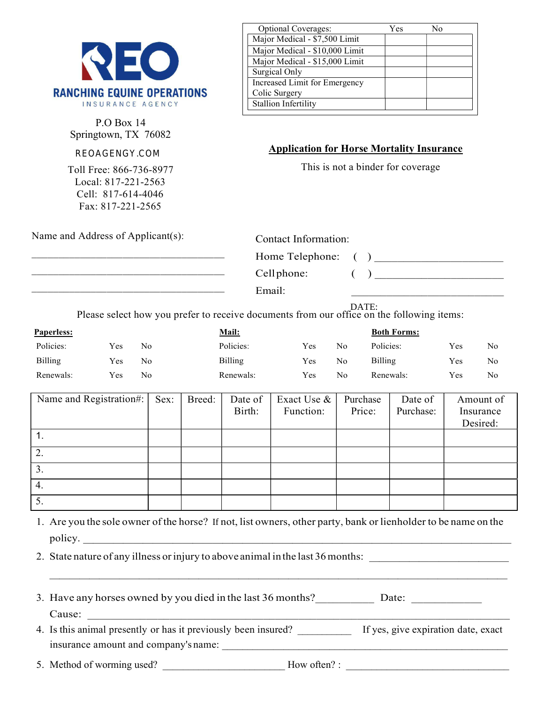

P.O Box 14 Springtown, TX 76082

## sales@reoagency.com **REOAGENGY.COM**

Toll Free: 866-736-8977 Local: 817-221-2563 Cell: 817-614-4046 Fax: 817-221-2565

| <b>Optional Coverages:</b>     | Yes | N٥ |
|--------------------------------|-----|----|
| Major Medical - \$7,500 Limit  |     |    |
| Major Medical - \$10,000 Limit |     |    |
| Major Medical - \$15,000 Limit |     |    |
| Surgical Only                  |     |    |
| Increased Limit for Emergency  |     |    |
| Colic Surgery                  |     |    |
| <b>Stallion Infertility</b>    |     |    |
|                                |     |    |

## Application for Horse Mortality Insurance

This is not a binder for coverage

Name and Address of Applicant(s):

 $\mathcal{L}_\text{max}$  , and the set of the set of the set of the set of the set of the set of the set of the set of the set of the set of the set of the set of the set of the set of the set of the set of the set of the set of the  $\mathcal{L}_\text{max}$  , and the set of the set of the set of the set of the set of the set of the set of the set of the set of the set of the set of the set of the set of the set of the set of the set of the set of the set of the \_\_\_\_\_\_\_\_\_\_\_\_\_\_\_\_\_\_\_\_\_\_\_\_\_\_\_\_\_\_\_\_\_\_\_\_

| Contact Information: |  |
|----------------------|--|
| Home Telephone: ()   |  |
| Cell phone:          |  |

Email: \_\_\_\_\_\_\_\_\_\_\_\_\_\_\_\_\_\_\_\_\_\_\_\_\_\_

DATE:

Please select how you prefer to receive documents from our office on the following items:

| <b>Paperless:</b> |     |    | <u>Mail:</u> |      |                | <b>Both Forms:</b> |      |    |
|-------------------|-----|----|--------------|------|----------------|--------------------|------|----|
| Policies:         | Yes | No | Policies:    | Yes. | N <sub>o</sub> | Policies:          | Yes. | No |
| Billing           | Yes | No | Billing      | Yes  | No             | <b>Billing</b>     | Yes. | No |
| Renewals:         | Yes | No | Renewals:    | Yes. | No             | Renewals:          | Yes  | No |

| Name and Registration#: | Sex: | Breed: | Date of | Exact Use $\&$ | Purchase | Date of   | Amount of |
|-------------------------|------|--------|---------|----------------|----------|-----------|-----------|
|                         |      |        | Birth:  | Function:      | Price:   | Purchase: | Insurance |
|                         |      |        |         |                |          |           | Desired:  |
|                         |      |        |         |                |          |           |           |
| 2.                      |      |        |         |                |          |           |           |
| 3.                      |      |        |         |                |          |           |           |
| 4.                      |      |        |         |                |          |           |           |
| $\mathcal{L}$ .         |      |        |         |                |          |           |           |

1. Are you the sole owner of the horse? If not, list owners, other party, bank or lienholder to be name on the If policy.  $\frac{1}{2}$  and  $\frac{1}{2}$  and  $\frac{1}{2}$  and  $\frac{1}{2}$  and  $\frac{1}{2}$  and  $\frac{1}{2}$  and  $\frac{1}{2}$  and  $\frac{1}{2}$  and  $\frac{1}{2}$  and  $\frac{1}{2}$  and  $\frac{1}{2}$  and  $\frac{1}{2}$  and  $\frac{1}{2}$  and  $\frac{1}{2}$  and  $\frac{1}{2}$  and  $\frac$ 

2. State nature of any illness or injury to above animal in the last 36 months:  $\mathcal{L}=\{1,2,3,4\}$  , we can assume that  $\mathcal{L}=\{1,2,3,4\}$  , we can assume that  $\mathcal{L}=\{1,2,3,4\}$ 

| 3. Have any horses owned by you died in the last 36 months? | Date: |  |
|-------------------------------------------------------------|-------|--|
| Cause:                                                      |       |  |

4. Is this animal presently or has it previously been insured? If yes, give expiration date, exact insurance amount and company's name:

5. Method of worming used? How often? :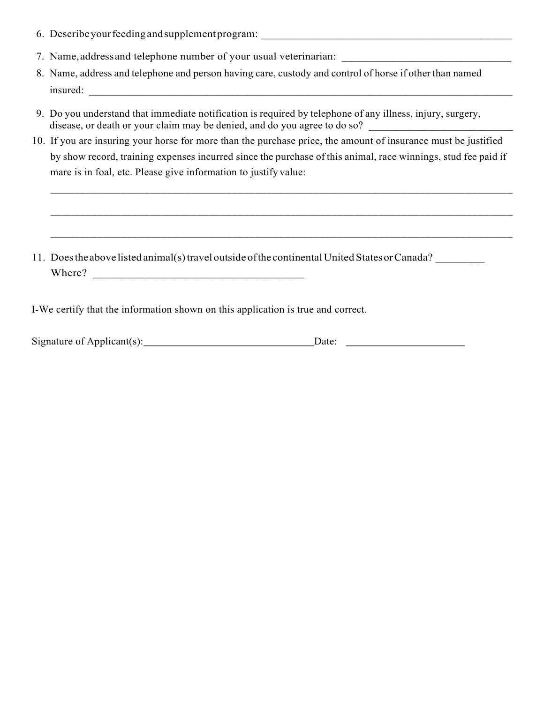- 6. Describe your feeding and supplement program:
- 7. Name, address and telephone number of your usual veterinarian:
- 8. Name, address and telephone and person having care, custody and control of horse if other than named insured:
- 9. Do you understand that immediate notification is required by telephone of any illness, injury, surgery, disease, or death or your claim may be denied, and do you agree to do so?
- 10. If you are insuring your horse for more than the purchase price, the amount of insurance must be justified by show record, training expenses incurred since the purchase of this animal, race winnings, stud fee paid if mare is in foal, etc. Please give information to justify value:

\_\_\_\_\_\_\_\_\_\_\_\_\_\_\_\_\_\_\_\_\_\_\_\_\_\_\_\_\_\_\_\_\_\_\_\_\_\_\_\_\_\_\_\_\_\_\_\_\_\_\_\_\_\_\_\_\_\_\_\_\_\_\_\_\_\_\_\_\_\_\_\_\_\_\_\_\_\_\_

\_\_\_\_\_\_\_\_\_\_\_\_\_\_\_\_\_\_\_\_\_\_\_\_\_\_\_\_\_\_\_\_\_\_\_\_\_\_\_\_\_\_\_\_\_\_\_\_\_\_\_\_\_\_\_\_\_\_\_\_\_\_\_\_\_\_\_\_\_\_\_\_\_\_\_\_\_\_\_

11. Does the above listed animal(s) travel outside of the continental United States or Canada? Where?

I-We certify that the information shown on this application is true and correct.

| $\sim$<br>Signature of Applicant s<br>and the contract of the contract of the contract of the contract of the contract of the contract of the contract of |  |
|-----------------------------------------------------------------------------------------------------------------------------------------------------------|--|
|                                                                                                                                                           |  |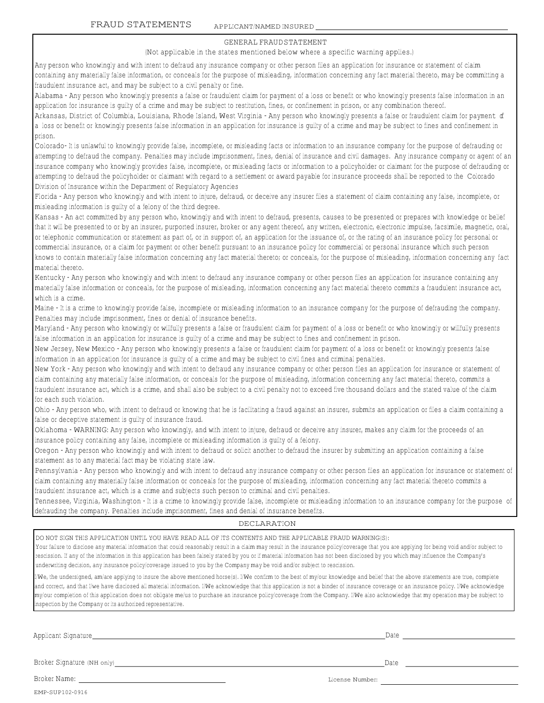### GENERAL FRAUD STATEMENT

#### (Not applicable in the states mentioned below where <sup>a</sup> specific warning applies.)

Any person who knowingly and with intent to defraud any insurance company or other person files an application for insurance or statement of claim containing any materially false information, or conceals for the purpose of misleading, information concerning any fact material thereto, may be committing <sup>a</sup> fraudulent insurance act, and may be subject to <sup>a</sup> civil penalty or fine.

Alabama - Any person who knowingly presents <sup>a</sup> false or fraudulent claim for payment of <sup>a</sup> loss or benefit or who knowingly presents false information in an application for insurance is guilty of <sup>a</sup> crime and may be subject to restitution, fines, or confinement in prison, or any combination thereof.

Arkansas, District of Columbia, Louisiana, Rhode Island, West Virginia - Any person who knowingly presents a false or fraudulent claim for payment of a loss or benefit or knowingly presents false information in an application for insurance is guilty of <sup>a</sup> crime and may be subject to fines and confinement in prison.

Colorado- It is unlawful to knowingly provide false, incomplete, or misleading facts or information to an insurance company for the purpose of defrauding or attempting to defraud the company. Penalties may include imprisonment, fines, denial of insurance and civil damages. Any insurance company or agent of an insurance company who knowingly provides false, incomplete, or misleading facts or information to <sup>a</sup> policyholder or claimant for the purpose of defrauding or attempting to defraud the policyholder or claimant with regard to <sup>a</sup> settlement or award payable for insurance proceeds shall be reported to the Colorado Division of Insurance within the Department of Regulatory Agencies

Florida - Any person who knowingly and with intent to injure, defraud, or deceive any insurer files <sup>a</sup> statement of claim containing any false, incomplete, or misleading information is guilty of <sup>a</sup> felony of the third degree.

Kansas - An act committed by any person who, knowingly and with intent to defraud, presents, causes to be presented or prepares with knowledge or belief that it will be presented to or by an insurer, purported insurer, broker or any agent thereof, any written, electronic, electronic impulse, facsimile, magnetic, oral, or telephonic communication or statement as part of, or in support of, an application for the issuance of, or the rating of an insurance policy for personal or commercial insurance, or <sup>a</sup> claim for payment or other benefit pursuant to an insurance policy for commercial or personal insurance which such person knows to contain materially false information concerning any fact material thereto; or conceals, for the purpose of misleading, information concerning any fact material thereto.

Kentucky - Any person who knowingly and with intent to defraud any insurance company or other person files an application for insurance containing any materially false information or conceals, for the purpose of misleading, information concerning any fact material thereto commits <sup>a</sup> fraudulent insurance act, which is <sup>a</sup> crime.

Maine - It is <sup>a</sup> crime to knowingly provide false, incomplete or misleading information to an insurance company for the purpose of defrauding the company. Penalties may include imprisonment, fines or denial of insurance benefits.

Maryland - Any person who knowingly or willfully presents <sup>a</sup> false or fraudulent claim for payment of <sup>a</sup> loss or benefit or who knowingly or willfully presents false information in an application for insurance is guilty of <sup>a</sup> crime and may be subject to fines and confinement in prison.

New Jersey, New Mexico - Any person who knowingly presents <sup>a</sup> false or fraudulent claim for payment of <sup>a</sup> loss or benefit or knowingly presents false information in an application for insurance is guilty of <sup>a</sup> crime and may be subject to civil fines and criminal penalties.

New York - Any person who knowingly and with intent to defraud any insurance company or other person files an application for insurance or statement of claim containing any materially false information, or conceals for the purpose of misleading, information concerning any fact material thereto, commits <sup>a</sup> fraudulent insurance act, which is <sup>a</sup> crime, and shall also be subject to <sup>a</sup> civil penalty not to exceed five thousand dollars and the stated value of the claim for each such violation.

Ohio - Any person who, with intent to defraud or knowing that he is facilitating <sup>a</sup> fraud against an insurer, submits an application or files <sup>a</sup> claim containing <sup>a</sup> false or deceptive statement is guilty of insurance fraud.

Oklahoma - WARNING: Any person who knowingly, and with intent to injure, defraud or deceive any insurer, makes any claim for the proceeds of an insurance policy containing any false, incomplete or misleading information is guilty of <sup>a</sup> felony.

Oregon - Any person who knowingly and with intent to defraud or solicit another to defraud the insurer by submitting an application containing <sup>a</sup> false statement as to any material fact may be violating state law.

Pennsylvania - Any person who knowingly and with intent to defraud any insurance company or other person files an application for insurance or statement of claim containing any materially false information or conceals for the purpose of misleading, information concerning any fact material thereto commits <sup>a</sup> fraudulent insurance act, which is <sup>a</sup> crime and subjects such person to criminal and civil penalties.

Tennessee, Virginia, Washington - It is <sup>a</sup> crime to knowingly provide false, incomplete or misleading information to an insurance company for the purpose of defrauding the company. Penalties include imprisonment, fines and denial of insurance benefits.

### DECLARATION

DO NOT SIGN THIS APPLICATION UNTIL YOU HAVE READ ALL OF ITS CONTENTS AND THE APPLICABLE FRAUD WARNING(S):

Your failure to disclose any material information that could reasonably result in a claim may result in the insurance policy/coverage that you are applying for being void and/or subject to rescission. If any of the information in this application has been falsely stated by you or if material information has not been disclosed by you which may influence the Company's underwriting decision, any insurance policy/coverage issued to you by the Company may be void and/or subject to rescission.

 $I/W$ e, the undersigned, am/are applying to insure the above mentioned horse(s). I/We confirm to the best of my/our knowledge and belief that the above statements are true, complete and correct, and that I/we have disclosed all material information. I/We acknowledge that this application is not <sup>a</sup> binder of insurance coverage or an insurance policy. I/We acknowledge my/our completion of this application does not obligate me/us to purchase an insurance policy/coverage from the Company. I/We also acknowledge that my operation may be subject to inspection by the Company or its authorized representative.

Applicant Signature Date Date Date of the Date of the Date of the Date Date of the Date of the Date of the Date of the Date of the Date of the Date of the Date of the Date of the Date of the Date of the Date of the Date of

Broker Signature (NH only) Date Date of the Signature (NH only)

EMP-SUP102-0916

Broker Name: License Number: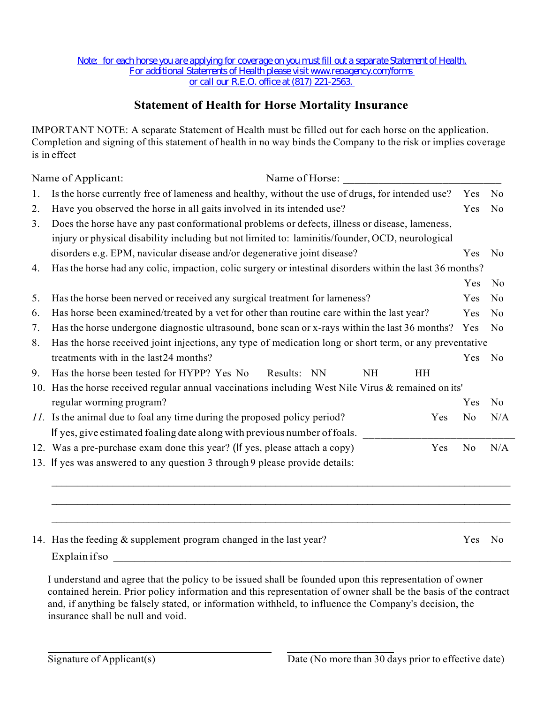# Statement of Health for Horse Mortality Insurance

IMPORTANT NOTE: A separate Statement of Health must be filled out for each horse on the application. Completion and signing of this statement of health in no way binds the Company to the risk or implies coverage is in effect

|    | Name of Applicant: Name of Horse: Name of Horse:                                                         |                |                |  |  |  |  |
|----|----------------------------------------------------------------------------------------------------------|----------------|----------------|--|--|--|--|
| 1. | Is the horse currently free of lameness and healthy, without the use of drugs, for intended use?         |                |                |  |  |  |  |
| 2. | Have you observed the horse in all gaits involved in its intended use?                                   |                |                |  |  |  |  |
| 3. | Does the horse have any past conformational problems or defects, illness or disease, lameness,           |                |                |  |  |  |  |
|    | injury or physical disability including but not limited to: laminitis/founder, OCD, neurological         |                |                |  |  |  |  |
|    | disorders e.g. EPM, navicular disease and/or degenerative joint disease?                                 | Yes            | N <sub>o</sub> |  |  |  |  |
| 4. | Has the horse had any colic, impaction, colic surgery or intestinal disorders within the last 36 months? |                |                |  |  |  |  |
|    |                                                                                                          | Yes            | N <sub>o</sub> |  |  |  |  |
| 5. | Has the horse been nerved or received any surgical treatment for lameness?                               | Yes            | No             |  |  |  |  |
| 6. | Has horse been examined/treated by a vet for other than routine care within the last year?               | Yes            | No             |  |  |  |  |
| 7. | Has the horse undergone diagnostic ultrasound, bone scan or x-rays within the last 36 months? Yes        |                | No             |  |  |  |  |
| 8. | Has the horse received joint injections, any type of medication long or short term, or any preventative  |                |                |  |  |  |  |
|    | treatments with in the last24 months?                                                                    | Yes            | No             |  |  |  |  |
| 9. | Has the horse been tested for HYPP? Yes No<br>Results: NN<br><b>NH</b><br><b>HH</b>                      |                |                |  |  |  |  |
|    | 10. Has the horse received regular annual vaccinations including West Nile Virus & remained on its'      |                |                |  |  |  |  |
|    | regular worming program?                                                                                 | Yes            | N <sub>o</sub> |  |  |  |  |
|    | 11. Is the animal due to foal any time during the proposed policy period?<br>Yes                         | No             | N/A            |  |  |  |  |
|    | If yes, give estimated foaling date along with previous number of foals.                                 |                |                |  |  |  |  |
|    | 12. Was a pre-purchase exam done this year? (If yes, please attach a copy)<br>Yes                        | N <sub>o</sub> | N/A            |  |  |  |  |
|    | 13. If yes was answered to any question 3 through 9 please provide details:                              |                |                |  |  |  |  |
|    |                                                                                                          |                |                |  |  |  |  |
|    |                                                                                                          |                |                |  |  |  |  |
|    |                                                                                                          |                |                |  |  |  |  |
|    |                                                                                                          |                |                |  |  |  |  |
|    | 14. Has the feeding & supplement program changed in the last year?                                       | Yes            | No             |  |  |  |  |
|    | Explainifso<br><u> 1989 - John Stein, Amerikaansk politiker (</u>                                        |                |                |  |  |  |  |

I understand and agree that the policy to be issued shall be founded upon this representation of owner contained herein. Prior policy information and this representation of owner shall be the basis of the contract and, if anything be falsely stated, or information withheld, to influence the Company's decision, the insurance shall be null and void.